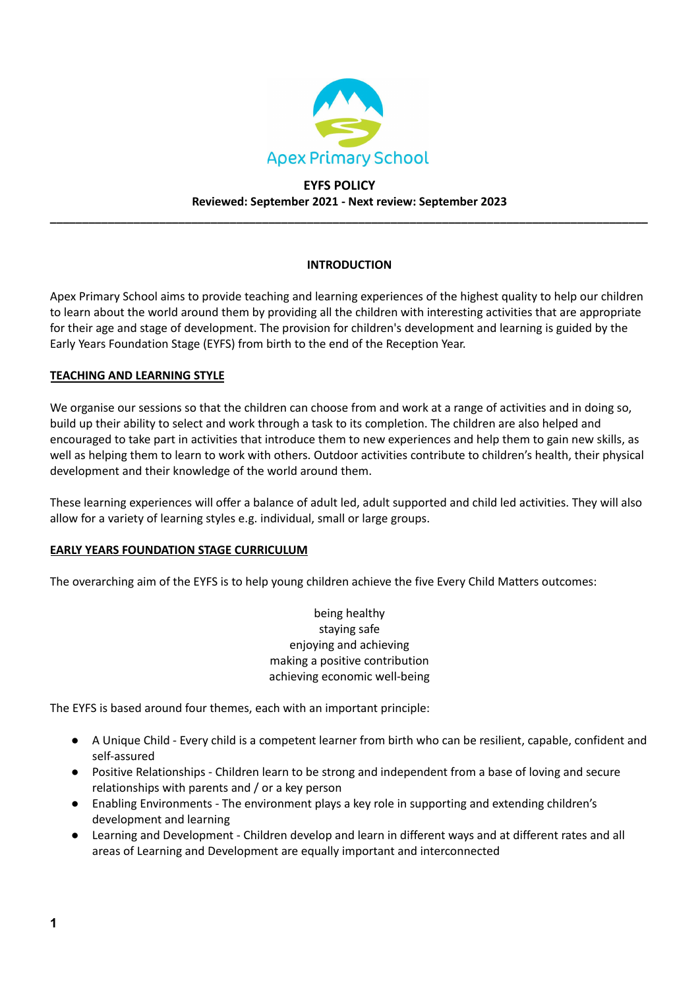

# **EYFS POLICY Reviewed: September 2021 - Next review: September 2023**

**\_\_\_\_\_\_\_\_\_\_\_\_\_\_\_\_\_\_\_\_\_\_\_\_\_\_\_\_\_\_\_\_\_\_\_\_\_\_\_\_\_\_\_\_\_\_\_\_\_\_\_\_\_\_\_\_\_\_\_\_\_\_\_\_\_\_\_\_\_\_\_\_\_\_\_\_\_\_\_\_\_\_\_\_\_\_\_\_\_\_\_\_\_**

## **INTRODUCTION**

Apex Primary School aims to provide teaching and learning experiences of the highest quality to help our children to learn about the world around them by providing all the children with interesting activities that are appropriate for their age and stage of development. The provision for children's development and learning is guided by the Early Years Foundation Stage (EYFS) from birth to the end of the Reception Year.

## **TEACHING AND LEARNING STYLE**

We organise our sessions so that the children can choose from and work at a range of activities and in doing so, build up their ability to select and work through a task to its completion. The children are also helped and encouraged to take part in activities that introduce them to new experiences and help them to gain new skills, as well as helping them to learn to work with others. Outdoor activities contribute to children's health, their physical development and their knowledge of the world around them.

These learning experiences will offer a balance of adult led, adult supported and child led activities. They will also allow for a variety of learning styles e.g. individual, small or large groups.

### **EARLY YEARS FOUNDATION STAGE CURRICULUM**

The overarching aim of the EYFS is to help young children achieve the five Every Child Matters outcomes:

being healthy staying safe enjoying and achieving making a positive contribution achieving economic well-being

The EYFS is based around four themes, each with an important principle:

- A Unique Child Every child is a competent learner from birth who can be resilient, capable, confident and self-assured
- Positive Relationships Children learn to be strong and independent from a base of loving and secure relationships with parents and / or a key person
- Enabling Environments The environment plays a key role in supporting and extending children's development and learning
- Learning and Development Children develop and learn in different ways and at different rates and all areas of Learning and Development are equally important and interconnected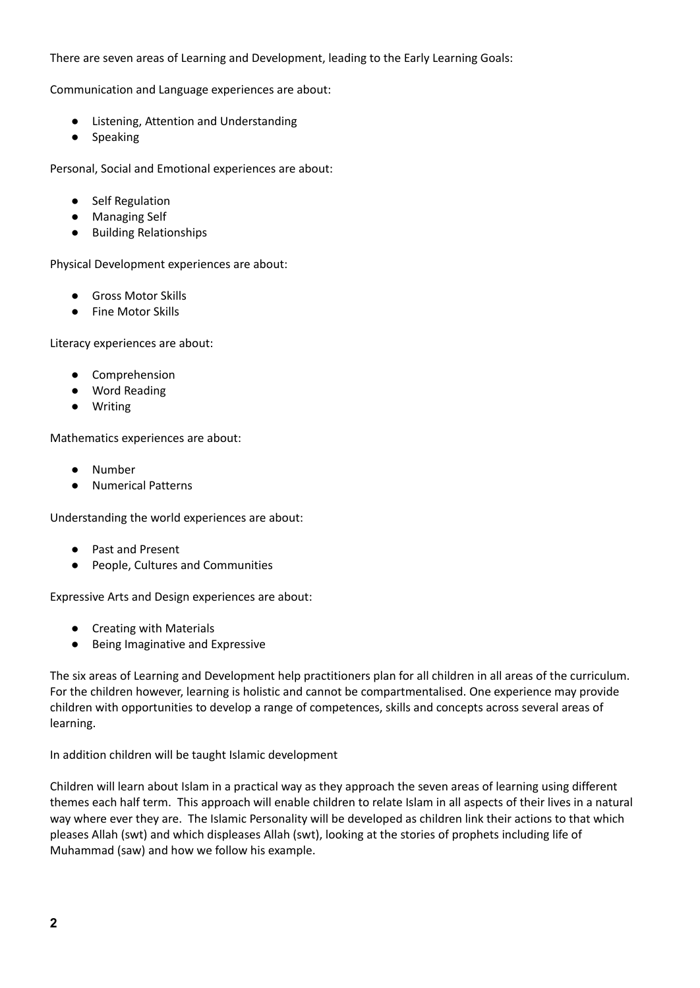## There are seven areas of Learning and Development, leading to the Early Learning Goals:

Communication and Language experiences are about:

- Listening, Attention and Understanding
- Speaking

Personal, Social and Emotional experiences are about:

- Self Regulation
- Managing Self
- Building Relationships

Physical Development experiences are about:

- Gross Motor Skills
- Fine Motor Skills

Literacy experiences are about:

- Comprehension
- Word Reading
- Writing

Mathematics experiences are about:

- Number
- Numerical Patterns

Understanding the world experiences are about:

- Past and Present
- People, Cultures and Communities

Expressive Arts and Design experiences are about:

- Creating with Materials
- Being Imaginative and Expressive

The six areas of Learning and Development help practitioners plan for all children in all areas of the curriculum. For the children however, learning is holistic and cannot be compartmentalised. One experience may provide children with opportunities to develop a range of competences, skills and concepts across several areas of learning.

In addition children will be taught Islamic development

Children will learn about Islam in a practical way as they approach the seven areas of learning using different themes each half term. This approach will enable children to relate Islam in all aspects of their lives in a natural way where ever they are. The Islamic Personality will be developed as children link their actions to that which pleases Allah (swt) and which displeases Allah (swt), looking at the stories of prophets including life of Muhammad (saw) and how we follow his example.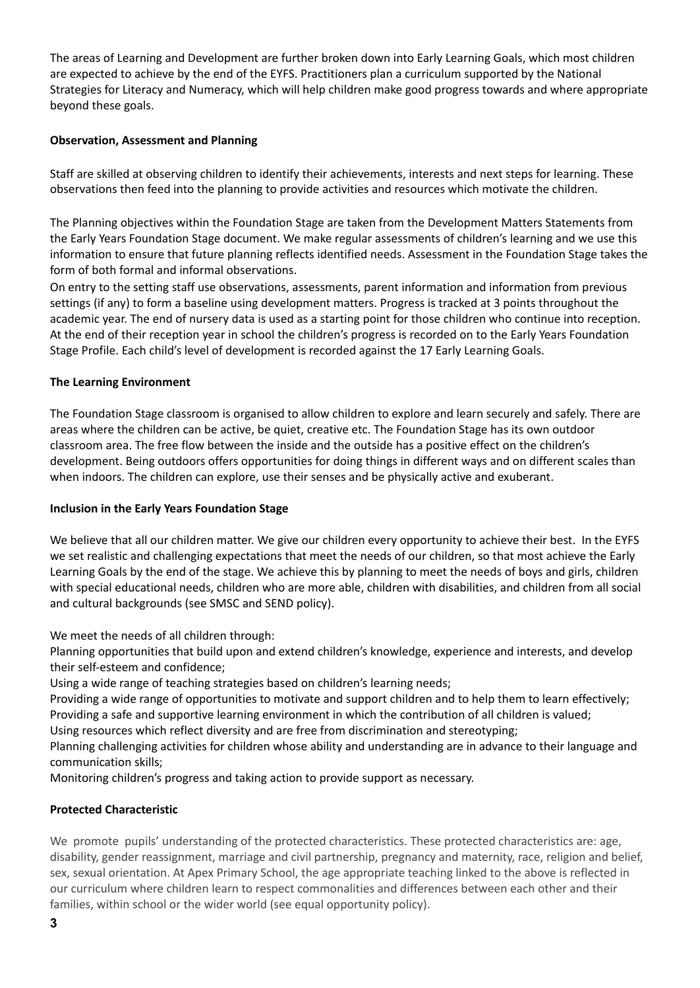The areas of Learning and Development are further broken down into Early Learning Goals, which most children are expected to achieve by the end of the EYFS. Practitioners plan a curriculum supported by the National Strategies for Literacy and Numeracy, which will help children make good progress towards and where appropriate beyond these goals.

## **Observation, Assessment and Planning**

Staff are skilled at observing children to identify their achievements, interests and next steps for learning. These observations then feed into the planning to provide activities and resources which motivate the children.

The Planning objectives within the Foundation Stage are taken from the Development Matters Statements from the Early Years Foundation Stage document. We make regular assessments of children's learning and we use this information to ensure that future planning reflects identified needs. Assessment in the Foundation Stage takes the form of both formal and informal observations.

On entry to the setting staff use observations, assessments, parent information and information from previous settings (if any) to form a baseline using development matters. Progress is tracked at 3 points throughout the academic year. The end of nursery data is used as a starting point for those children who continue into reception. At the end of their reception year in school the children's progress is recorded on to the Early Years Foundation Stage Profile. Each child's level of development is recorded against the 17 Early Learning Goals.

## **The Learning Environment**

The Foundation Stage classroom is organised to allow children to explore and learn securely and safely. There are areas where the children can be active, be quiet, creative etc. The Foundation Stage has its own outdoor classroom area. The free flow between the inside and the outside has a positive effect on the children's development. Being outdoors offers opportunities for doing things in different ways and on different scales than when indoors. The children can explore, use their senses and be physically active and exuberant.

### **Inclusion in the Early Years Foundation Stage**

We believe that all our children matter. We give our children every opportunity to achieve their best. In the EYFS we set realistic and challenging expectations that meet the needs of our children, so that most achieve the Early Learning Goals by the end of the stage. We achieve this by planning to meet the needs of boys and girls, children with special educational needs, children who are more able, children with disabilities, and children from all social and cultural backgrounds (see SMSC and SEND policy).

We meet the needs of all children through:

Planning opportunities that build upon and extend children's knowledge, experience and interests, and develop their self-esteem and confidence;

Using a wide range of teaching strategies based on children's learning needs;

Providing a wide range of opportunities to motivate and support children and to help them to learn effectively; Providing a safe and supportive learning environment in which the contribution of all children is valued;

Using resources which reflect diversity and are free from discrimination and stereotyping;

Planning challenging activities for children whose ability and understanding are in advance to their language and communication skills;

Monitoring children's progress and taking action to provide support as necessary.

## **Protected Characteristic**

We promote pupils' understanding of the protected characteristics. These protected characteristics are: age, disability, gender reassignment, marriage and civil partnership, pregnancy and maternity, race, religion and belief, sex, sexual orientation. At Apex Primary School, the age appropriate teaching linked to the above is reflected in our curriculum where children learn to respect commonalities and differences between each other and their families, within school or the wider world (see equal opportunity policy).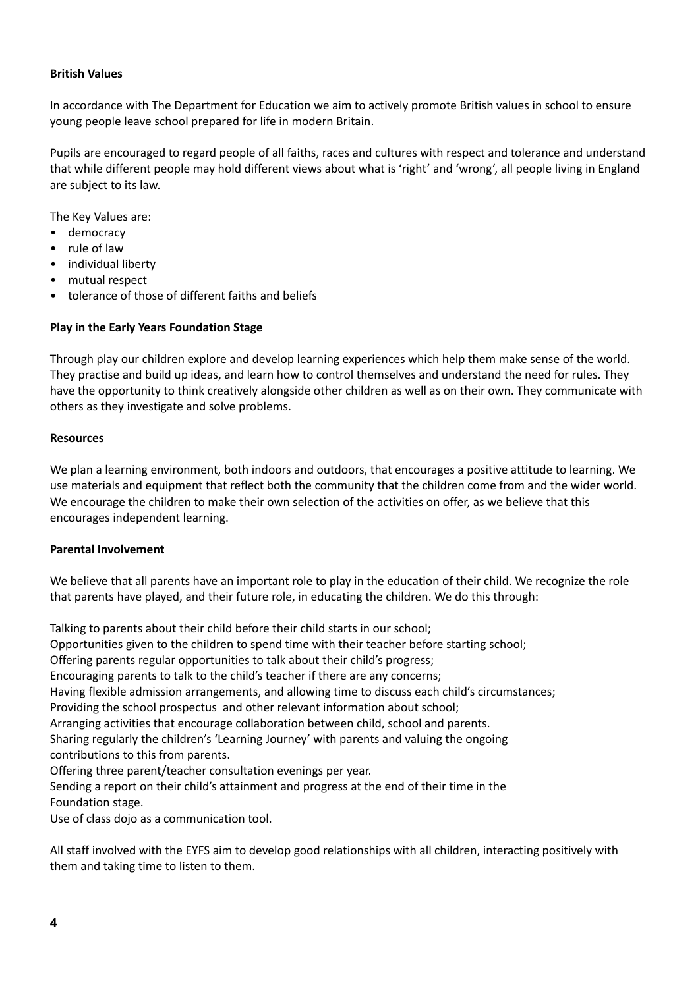## **British Values**

In accordance with The Department for Education we aim to actively promote British values in school to ensure young people leave school prepared for life in modern Britain.

Pupils are encouraged to regard people of all faiths, races and cultures with respect and tolerance and understand that while different people may hold different views about what is 'right' and 'wrong', all people living in England are subject to its law.

The Key Values are:

- democracy
- rule of law
- individual liberty
- mutual respect
- tolerance of those of different faiths and beliefs

## **Play in the Early Years Foundation Stage**

Through play our children explore and develop learning experiences which help them make sense of the world. They practise and build up ideas, and learn how to control themselves and understand the need for rules. They have the opportunity to think creatively alongside other children as well as on their own. They communicate with others as they investigate and solve problems.

#### **Resources**

We plan a learning environment, both indoors and outdoors, that encourages a positive attitude to learning. We use materials and equipment that reflect both the community that the children come from and the wider world. We encourage the children to make their own selection of the activities on offer, as we believe that this encourages independent learning.

### **Parental Involvement**

We believe that all parents have an important role to play in the education of their child. We recognize the role that parents have played, and their future role, in educating the children. We do this through:

Talking to parents about their child before their child starts in our school; Opportunities given to the children to spend time with their teacher before starting school; Offering parents regular opportunities to talk about their child's progress; Encouraging parents to talk to the child's teacher if there are any concerns; Having flexible admission arrangements, and allowing time to discuss each child's circumstances; Providing the school prospectus and other relevant information about school; Arranging activities that encourage collaboration between child, school and parents. Sharing regularly the children's 'Learning Journey' with parents and valuing the ongoing contributions to this from parents. Offering three parent/teacher consultation evenings per year. Sending a report on their child's attainment and progress at the end of their time in the Foundation stage.

Use of class dojo as a communication tool.

All staff involved with the EYFS aim to develop good relationships with all children, interacting positively with them and taking time to listen to them.